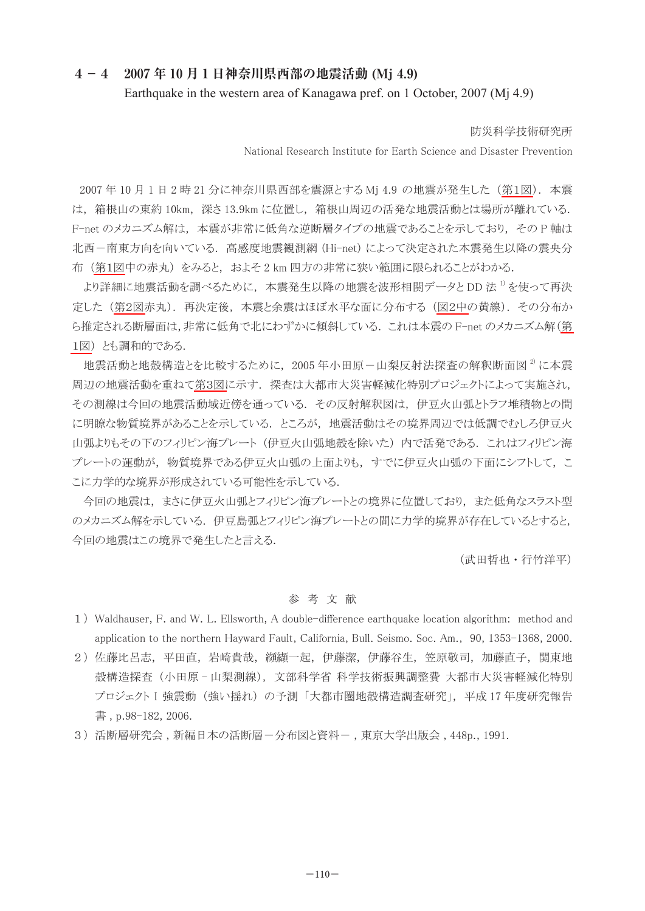## **4-4 2007 年 10 月 1 日神奈川県西部の地震活動 (Mj 4.9)** Earthquake in the western area of Kanagawa pref. on 1 October, 2007 (Mi 4.9)

防災科学技術研究所

National Research Institute for Earth Science and Disaster Prevention

 2007 年 10 月 1 日 2 時 21 分に神奈川県西部を震源とする Mj 4.9 の地震が発生した ([第1図\)](#page-1-0). 本震 は, 箱根山の東約 10km, 深さ 13.9km に位置し, 箱根山周辺の活発な地震活動とは場所が離れている. F-net のメカニズム解は, 本震が非常に低角な逆断層タイプの地震であることを示しており, その P 軸は 北西-南東方向を向いている. 高感度地震観測網 (Hi-net) によって決定された本震発生以降の震央分 布 [\(第1図中](#page-1-0)の赤丸) をみると, およそ 2 km 四方の非常に狭い範囲に限られることがわかる.

より詳細に地震活動を調べるために, 本震発生以降の地震を波形相関データと DD 法 1) を使って再決 定した [\(第2図赤](#page-1-0)丸). 再決定後, 本震と余震はほぼ水平な面に分布する [\(図2中の](#page-1-0)黄線). その分布か ら推定される断層面は,非常に低角で北にわずかに傾斜している. これは本震の F-net のメカニズム解[\(第](#page-1-0) [1図\)](#page-1-0) とも調和的である.

地震活動と地殻構造とを比較するために、2005年小田原-山梨反射法探査の解釈断面図<sup>2)</sup>に本震 周辺の地震活動を重ね[て第3図に](#page-1-0)示す. 探査は大都市大災害軽減化特別プロジェクトによって実施され, その測線は今回の地震活動域近傍を通っている. その反射解釈図は, 伊豆火山弧とトラフ堆積物との間 に明瞭な物質境界があることを示している. ところが, 地震活動はその境界周辺では低調でむしろ伊豆火 山弧よりもその下のフィリピン海プレート (伊豆火山弧地殻を除いた) 内で活発である. これはフィリピン海 プレートの運動が, 物質境界である伊豆火山弧の上面よりも, すでに伊豆火山弧の下面にシフトして, こ こに力学的な境界が形成されている可能性を示している.

今回の地震は, まさに伊豆火山弧とフィリピン海プレートとの境界に位置しており, また低角なスラスト型 のメカニズム解を示している. 伊豆島弧とフィリピン海プレートとの間に力学的境界が存在しているとすると, 今回の地震はこの境界で発生したと言える.

(武田哲也 ・ 行竹洋平)

## 参 考 文 献

- 1)Waldhauser, F. and W. L. Ellsworth, A double-difference earthquake location algorithm: method and application to the northern Hayward Fault, California, Bull. Seismo. Soc. Am., 90, 1353-1368, 2000.
- 2)佐藤比呂志, 平田直, 岩崎貴哉, 纐纈一起, 伊藤潔, 伊藤谷生, 笠原敬司, 加藤直子, 関東地 殻構造探査 (小田原 - 山梨測線), 文部科学省 科学技術振興調整費 大都市大災害軽減化特別 プロジェクト I 強震動 (強い揺れ) の予測 「大都市圏地殻構造調査研究」, 平成 17 年度研究報告 書 , p.98-182, 2006.
- 3)活断層研究会 , 新編日本の活断層-分布図と資料- , 東京大学出版会 , 448p., 1991.